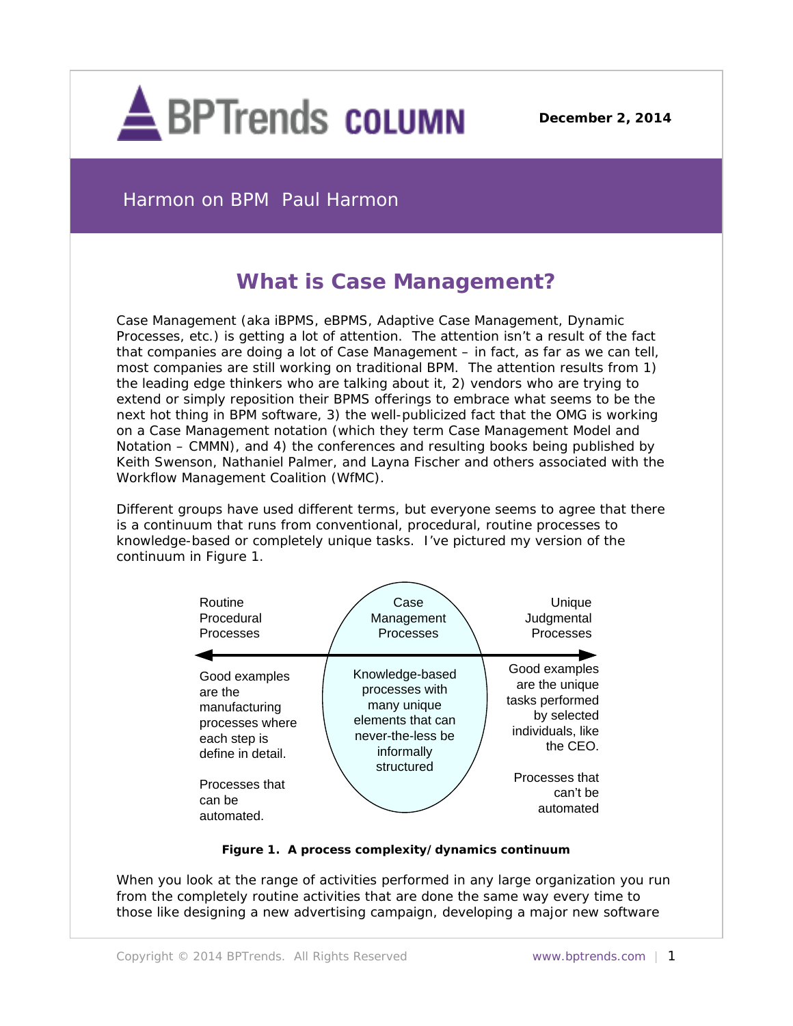

**December 2, 2014**

Harmon on BPM Paul Harmon

## **What is Case Management?**

Case Management (aka iBPMS, eBPMS, Adaptive Case Management, Dynamic Processes, etc.) is getting a lot of attention. The attention isn't a result of the fact that companies are doing a lot of Case Management – in fact, as far as we can tell, most companies are still working on traditional BPM. The attention results from 1) the leading edge thinkers who are talking about it, 2) vendors who are trying to extend or simply reposition their BPMS offerings to embrace what seems to be the next hot thing in BPM software, 3) the well-publicized fact that the OMG is working on a Case Management notation (which they term Case Management Model and Notation – CMMN), and 4) the conferences and resulting books being published by Keith Swenson, Nathaniel Palmer, and Layna Fischer and others associated with the Workflow Management Coalition (WfMC).

Different groups have used different terms, but everyone seems to agree that there is a continuum that runs from conventional, procedural, routine processes to knowledge-based or completely unique tasks. I've pictured my version of the continuum in Figure 1.



## **Figure 1. A process complexity/dynamics continuum**

When you look at the range of activities performed in any large organization you run from the completely routine activities that are done the same way every time to those like designing a new advertising campaign, developing a major new software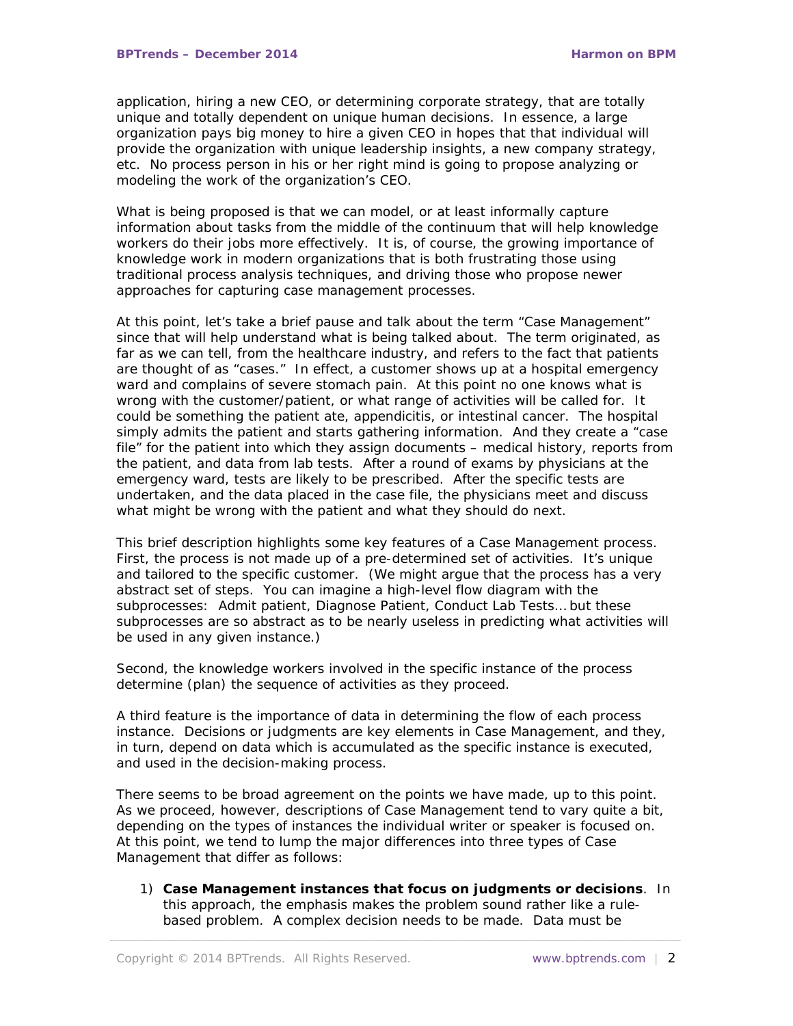application, hiring a new CEO, or determining corporate strategy, that are totally unique and totally dependent on unique human decisions. In essence, a large organization pays big money to hire a given CEO in hopes that that individual will provide the organization with unique leadership insights, a new company strategy, etc. No process person in his or her right mind is going to propose analyzing or modeling the work of the organization's CEO.

What is being proposed is that we can model, or at least informally capture information about tasks from the middle of the continuum that will help knowledge workers do their jobs more effectively. It is, of course, the growing importance of knowledge work in modern organizations that is both frustrating those using traditional process analysis techniques, and driving those who propose newer approaches for capturing case management processes.

At this point, let's take a brief pause and talk about the term "Case Management" since that will help understand what is being talked about. The term originated, as far as we can tell, from the healthcare industry, and refers to the fact that patients are thought of as "cases." In effect, a customer shows up at a hospital emergency ward and complains of severe stomach pain. At this point no one knows what is wrong with the customer/patient, or what range of activities will be called for. It could be something the patient ate, appendicitis, or intestinal cancer. The hospital simply admits the patient and starts gathering information. And they create a "case file" for the patient into which they assign documents – medical history, reports from the patient, and data from lab tests. After a round of exams by physicians at the emergency ward, tests are likely to be prescribed. After the specific tests are undertaken, and the data placed in the case file, the physicians meet and discuss what might be wrong with the patient and what they should do next.

This brief description highlights some key features of a Case Management process. First, the process is not made up of a pre-determined set of activities. It's unique and tailored to the specific customer. (We might argue that the process has a very abstract set of steps. You can imagine a high-level flow diagram with the subprocesses: Admit patient, Diagnose Patient, Conduct Lab Tests… but these subprocesses are so abstract as to be nearly useless in predicting what activities will be used in any given instance.)

Second, the knowledge workers involved in the specific instance of the process determine (plan) the sequence of activities as they proceed.

A third feature is the importance of data in determining the flow of each process instance. Decisions or judgments are key elements in Case Management, and they, in turn, depend on data which is accumulated as the specific instance is executed, and used in the decision-making process.

There seems to be broad agreement on the points we have made, up to this point. As we proceed, however, descriptions of Case Management tend to vary quite a bit, depending on the types of instances the individual writer or speaker is focused on. At this point, we tend to lump the major differences into three types of Case Management that differ as follows:

1) **Case Management instances that focus on judgments or decisions**. In this approach, the emphasis makes the problem sound rather like a rulebased problem. A complex decision needs to be made. Data must be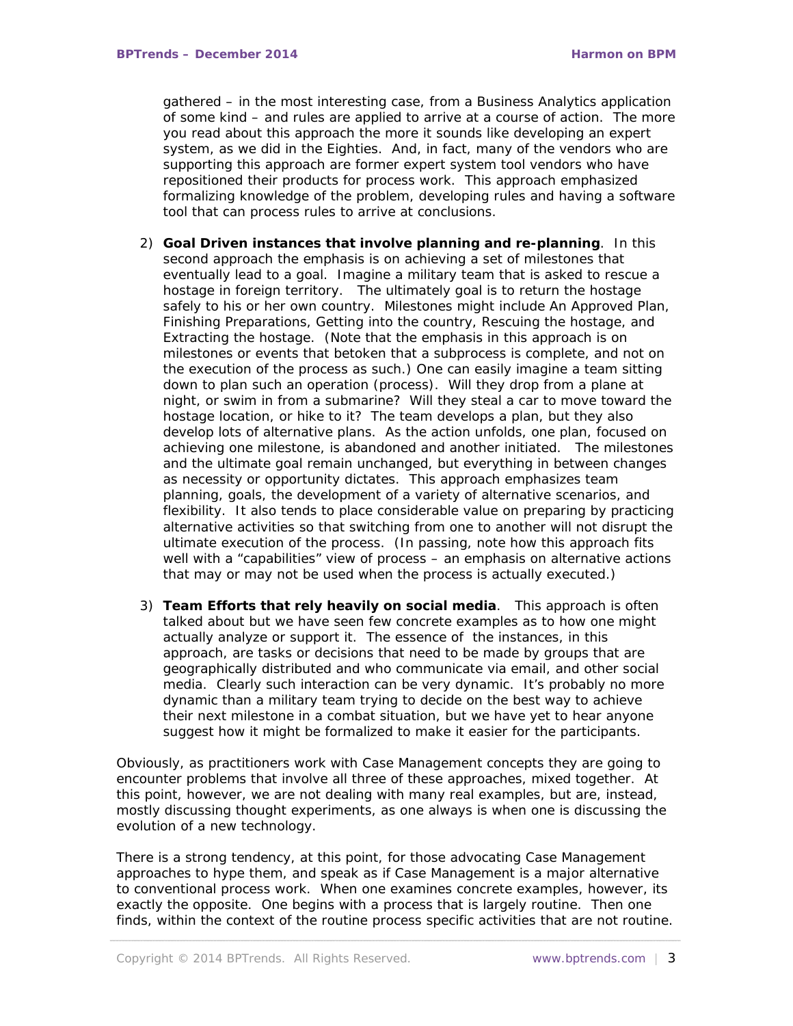gathered – in the most interesting case, from a Business Analytics application of some kind – and rules are applied to arrive at a course of action. The more you read about this approach the more it sounds like developing an expert system, as we did in the Eighties. And, in fact, many of the vendors who are supporting this approach are former expert system tool vendors who have repositioned their products for process work. This approach emphasized formalizing knowledge of the problem, developing rules and having a software tool that can process rules to arrive at conclusions.

- 2) **Goal Driven instances that involve planning and re-planning**. In this second approach the emphasis is on achieving a set of milestones that eventually lead to a goal. Imagine a military team that is asked to rescue a hostage in foreign territory. The ultimately goal is to return the hostage safely to his or her own country. Milestones might include An Approved Plan, Finishing Preparations, Getting into the country, Rescuing the hostage, and Extracting the hostage. (Note that the emphasis in this approach is on milestones or events that betoken that a subprocess is complete, and not on the execution of the process as such.) One can easily imagine a team sitting down to plan such an operation (process). Will they drop from a plane at night, or swim in from a submarine? Will they steal a car to move toward the hostage location, or hike to it? The team develops a plan, but they also develop lots of alternative plans. As the action unfolds, one plan, focused on achieving one milestone, is abandoned and another initiated. The milestones and the ultimate goal remain unchanged, but everything in between changes as necessity or opportunity dictates. This approach emphasizes team planning, goals, the development of a variety of alternative scenarios, and flexibility. It also tends to place considerable value on preparing by practicing alternative activities so that switching from one to another will not disrupt the ultimate execution of the process. (In passing, note how this approach fits well with a "capabilities" view of process – an emphasis on alternative actions that may or may not be used when the process is actually executed.)
- 3) **Team Efforts that rely heavily on social media**. This approach is often talked about but we have seen few concrete examples as to how one might actually analyze or support it. The essence of the instances, in this approach, are tasks or decisions that need to be made by groups that are geographically distributed and who communicate via email, and other social media. Clearly such interaction can be very dynamic. It's probably no more dynamic than a military team trying to decide on the best way to achieve their next milestone in a combat situation, but we have yet to hear anyone suggest how it might be formalized to make it easier for the participants.

Obviously, as practitioners work with Case Management concepts they are going to encounter problems that involve all three of these approaches, mixed together. At this point, however, we are not dealing with many real examples, but are, instead, mostly discussing thought experiments, as one always is when one is discussing the evolution of a new technology.

There is a strong tendency, at this point, for those advocating Case Management approaches to hype them, and speak as if Case Management is a major alternative to conventional process work. When one examines concrete examples, however, its exactly the opposite. One begins with a process that is largely routine. Then one finds, within the context of the routine process specific activities that are not routine.